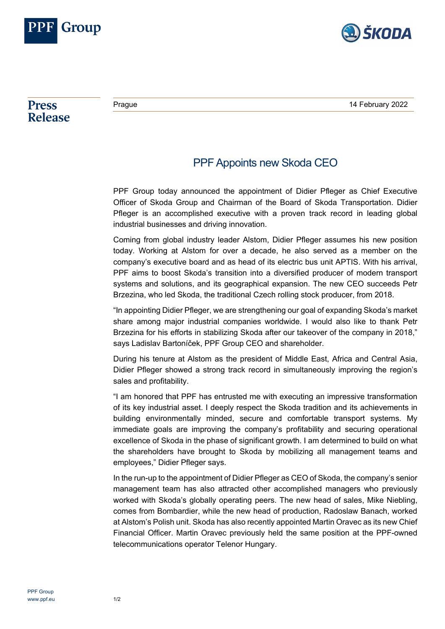



**Press Release** 

## PPF Appoints new Skoda CEO

PPF Group today announced the appointment of Didier Pfleger as Chief Executive Officer of Skoda Group and Chairman of the Board of Skoda Transportation. Didier Pfleger is an accomplished executive with a proven track record in leading global industrial businesses and driving innovation.

Coming from global industry leader Alstom, Didier Pfleger assumes his new position today. Working at Alstom for over a decade, he also served as a member on the company's executive board and as head of its electric bus unit APTIS. With his arrival, PPF aims to boost Skoda's transition into a diversified producer of modern transport systems and solutions, and its geographical expansion. The new CEO succeeds Petr Brzezina, who led Skoda, the traditional Czech rolling stock producer, from 2018.

"In appointing Didier Pfleger, we are strengthening our goal of expanding Skoda's market share among major industrial companies worldwide. I would also like to thank Petr Brzezina for his efforts in stabilizing Skoda after our takeover of the company in 2018," says Ladislav Bartoníček, PPF Group CEO and shareholder.

During his tenure at Alstom as the president of Middle East, Africa and Central Asia, Didier Pfleger showed a strong track record in simultaneously improving the region's sales and profitability.

"I am honored that PPF has entrusted me with executing an impressive transformation of its key industrial asset. I deeply respect the Skoda tradition and its achievements in building environmentally minded, secure and comfortable transport systems. My immediate goals are improving the company's profitability and securing operational excellence of Skoda in the phase of significant growth. I am determined to build on what the shareholders have brought to Skoda by mobilizing all management teams and employees," Didier Pfleger says.

In the run-up to the appointment of Didier Pfleger as CEO of Skoda, the company's senior management team has also attracted other accomplished managers who previously worked with Skoda's globally operating peers. The new head of sales, Mike Niebling, comes from Bombardier, while the new head of production, Radoslaw Banach, worked at Alstom's Polish unit. Skoda has also recently appointed Martin Oravec as its new Chief Financial Officer. Martin Oravec previously held the same position at the PPF-owned telecommunications operator Telenor Hungary.